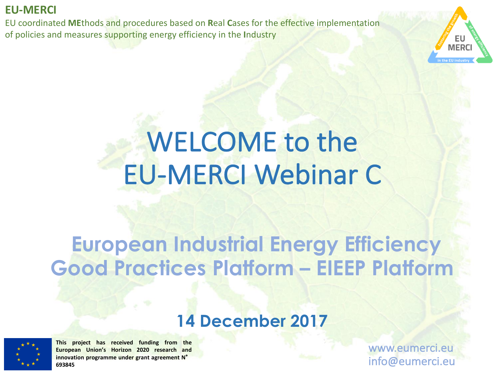EU coordinated MEthods and procedures based on Real Cases for the effective implementation of policies and measures supporting energy efficiency in the Industry



# **WELCOME** to the EU-MERCI Webinar C

# **European Industrial Energy Efficiency Good Practices Platform – EIEEP Platform**

# **14 December 2017**



**This project has received funding from the European Union's Horizon 2020 research and innovation programme under grant agreement N**° **693845**

www.eumerci.eu info@eumerci.eu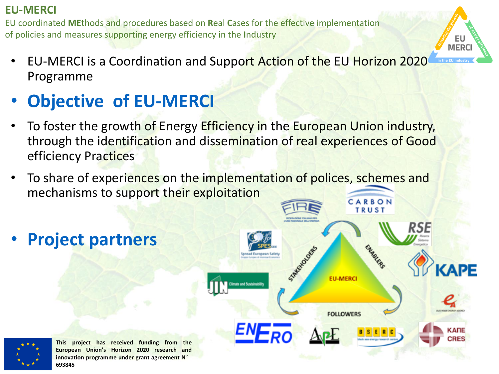EU coordinated MEthods and procedures based on Real Cases for the effective implementation of policies and measures supporting energy efficiency in the Industry

- EU-MERCI is a Coordination and Support Action of the EU Horizon 2020 Programme
- **Objective of EU-MERCI**
- To foster the growth of Energy Efficiency in the European Union industry, through the identification and dissemination of real experiences of Good efficiency Practices
- To share of experiences on the implementation of polices, schemes and mechanisms to support their exploitation

• **Project partners**



EU **MERC** 

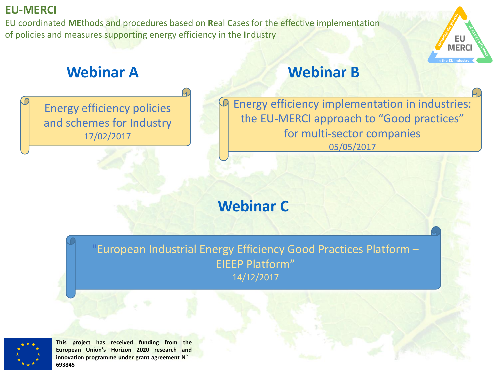EU coordinated MEthods and procedures based on Real Cases for the effective implementation of policies and measures supporting energy efficiency in the Industry

# **Webinar A Webinar B**

Energy efficiency policies and schemes for Industry 17/02/2017

Energy efficiency implementation in industries: the EU-MERCI approach to "Good practices" for multi-sector companies 05/05/2017

ΕU **MERC** 

# **Webinar C**

European Industrial Energy Efficiency Good Practices Platform -EIEEP Platform" 14/12/2017

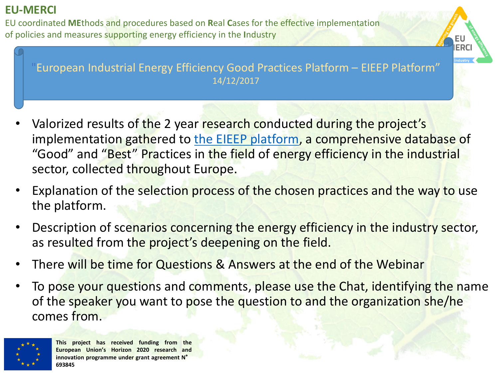EU coordinated MEthods and procedures based on Real Cases for the effective implementation of policies and measures supporting energy efficiency in the **Industry** 

European Industrial Energy Efficiency Good Practices Platform - EIEEP Platform" 14/12/2017

ERC

- Valorized results of the 2 year research conducted during the project's implementation gathered to the EIEEP platform, a comprehensive database of "Good" and "Best" Practices in the field of energy efficiency in the industrial sector, collected throughout Europe.
- Explanation of the selection process of the chosen practices and the way to use the platform.
- Description of scenarios concerning the energy efficiency in the industry sector, as resulted from the project's deepening on the field.
- There will be time for Questions & Answers at the end of the Webinar
- To pose your questions and comments, please use the Chat, identifying the name of the speaker you want to pose the question to and the organization she/he comes from.

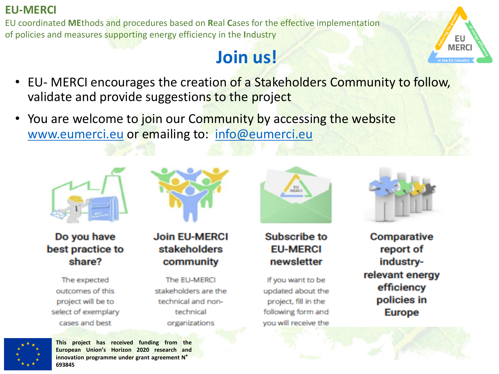EU coordinated MEthods and procedures based on Real Cases for the effective implementation of policies and measures supporting energy efficiency in the Industry

# **Join us!**



- EU- MERCI encourages the creation of a Stakeholders Community to follow, validate and provide suggestions to the project
- You are welcome to join our Community by accessing the website www.eumerci.eu or emailing to: info@eumerci.eu



Do you have best practice to share?

The expected outcomes of this project will be to select of exemplary cases and best



#### **Join EU-MERCI** stakeholders community

The EU-MERCL stakeholders are the technical and nontechnical organizations



#### **Subscribe to EU-MERCI** newsletter

If you want to be updated about the project, fill in the following form and you will receive the



**Comparative** report of industryrelevant energy efficiency policies in **Europe**